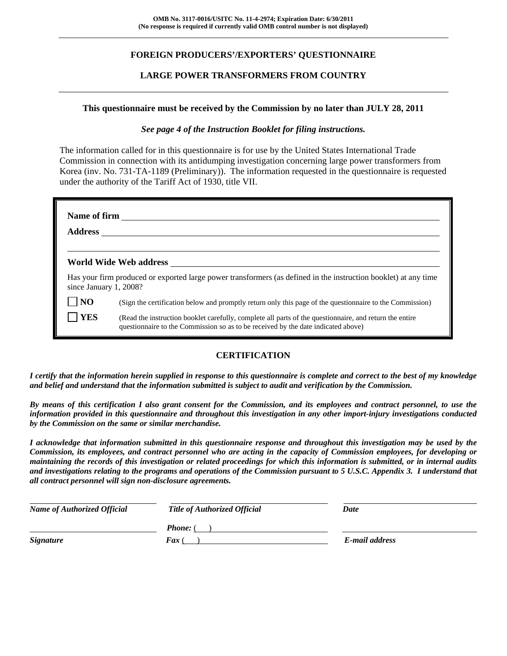## **FOREIGN PRODUCERS'/EXPORTERS' QUESTIONNAIRE**

### **LARGE POWER TRANSFORMERS FROM COUNTRY**

#### **This questionnaire must be received by the Commission by no later than JULY 28, 2011**

### *See page 4 of the Instruction Booklet for filing instructions.*

The information called for in this questionnaire is for use by the United States International Trade Commission in connection with its antidumping investigation concerning large power transformers from Korea (inv. No. 731-TA-1189 (Preliminary)). The information requested in the questionnaire is requested under the authority of the Tariff Act of 1930, title VII.

|                        | World Wide Web address                                                                                                                                                                       |
|------------------------|----------------------------------------------------------------------------------------------------------------------------------------------------------------------------------------------|
| since January 1, 2008? | Has your firm produced or exported large power transformers (as defined in the instruction booklet) at any time                                                                              |
| N <sub>O</sub>         | (Sign the certification below and promptly return only this page of the questionnaire to the Commission)                                                                                     |
| <b>YES</b>             | (Read the instruction booklet carefully, complete all parts of the questionnaire, and return the entire<br>questionnaire to the Commission so as to be received by the date indicated above) |

## **CERTIFICATION**

*I certify that the information herein supplied in response to this questionnaire is complete and correct to the best of my knowledge and belief and understand that the information submitted is subject to audit and verification by the Commission.* 

*By means of this certification I also grant consent for the Commission, and its employees and contract personnel, to use the information provided in this questionnaire and throughout this investigation in any other import-injury investigations conducted by the Commission on the same or similar merchandise.* 

*I acknowledge that information submitted in this questionnaire response and throughout this investigation may be used by the Commission, its employees, and contract personnel who are acting in the capacity of Commission employees, for developing or maintaining the records of this investigation or related proceedings for which this information is submitted, or in internal audits and investigations relating to the programs and operations of the Commission pursuant to 5 U.S.C. Appendix 3. I understand that all contract personnel will sign non-disclosure agreements.* 

| <b>Name of Authorized Official</b> | <b>Title of Authorized Official</b> | Date           |
|------------------------------------|-------------------------------------|----------------|
|                                    | <b>Phone:</b> (                     |                |
| <i>Signature</i>                   | <b>Fax</b> (                        | E-mail address |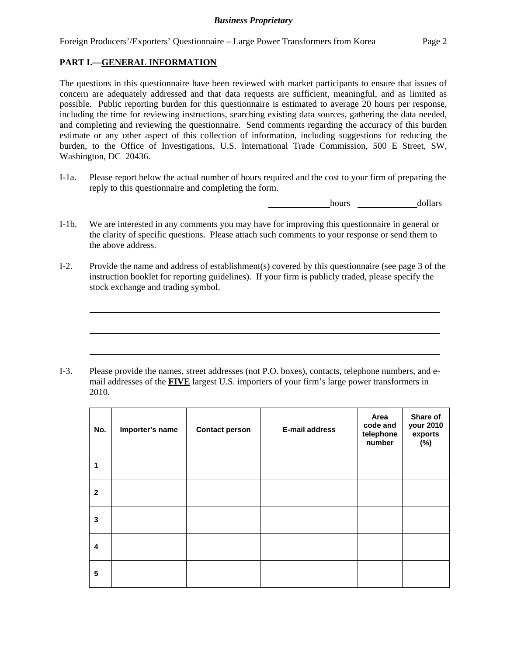Foreign Producers'/Exporters' Questionnaire – Large Power Transformers from Korea Page 2

## **PART I.—GENERAL INFORMATION**

l

l

l

The questions in this questionnaire have been reviewed with market participants to ensure that issues of concern are adequately addressed and that data requests are sufficient, meaningful, and as limited as possible. Public reporting burden for this questionnaire is estimated to average 20 hours per response, including the time for reviewing instructions, searching existing data sources, gathering the data needed, and completing and reviewing the questionnaire. Send comments regarding the accuracy of this burden estimate or any other aspect of this collection of information, including suggestions for reducing the burden, to the Office of Investigations, U.S. International Trade Commission, 500 E Street, SW, Washington, DC 20436.

I-1a. Please report below the actual number of hours required and the cost to your firm of preparing the reply to this questionnaire and completing the form.

**hours** <u>dollars</u>

- I-1b. We are interested in any comments you may have for improving this questionnaire in general or the clarity of specific questions. Please attach such comments to your response or send them to the above address.
- I-2. Provide the name and address of establishment(s) covered by this questionnaire (see page 3 of the instruction booklet for reporting guidelines). If your firm is publicly traded, please specify the stock exchange and trading symbol.

I-3. Please provide the names, street addresses (not P.O. boxes), contacts, telephone numbers, and email addresses of the **FIVE** largest U.S. importers of your firm's large power transformers in 2010.

| No.                     | Importer's name | <b>Contact person</b> | <b>E-mail address</b> | Area<br>code and<br>telephone<br>number | Share of<br>your 2010<br>exports<br>$(\%)$ |
|-------------------------|-----------------|-----------------------|-----------------------|-----------------------------------------|--------------------------------------------|
| 1                       |                 |                       |                       |                                         |                                            |
| $\mathbf{2}$            |                 |                       |                       |                                         |                                            |
| 3                       |                 |                       |                       |                                         |                                            |
| $\overline{\mathbf{4}}$ |                 |                       |                       |                                         |                                            |
| 5                       |                 |                       |                       |                                         |                                            |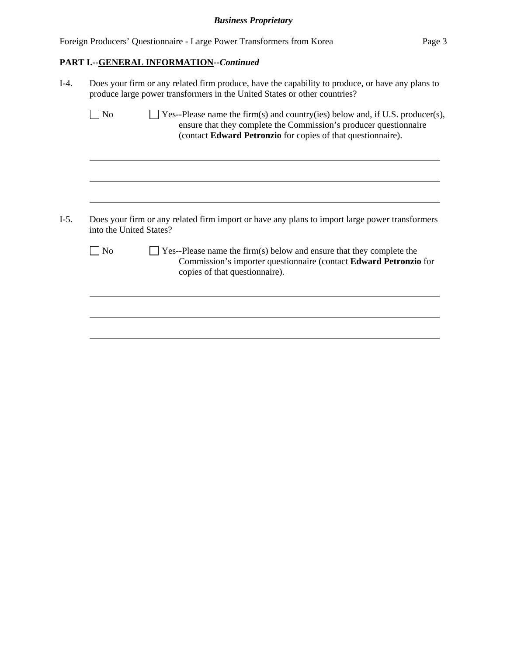| Foreign Producers' Questionnaire - Large Power Transformers from Korea | Page 3 |
|------------------------------------------------------------------------|--------|
| <b>PART I.--GENERAL INFORMATION--Continued</b>                         |        |

| $I-4.$ | Does your firm or any related firm produce, have the capability to produce, or have any plans to<br>produce large power transformers in the United States or other countries? |                                                                                                                                                                                                                    |  |  |  |  |
|--------|-------------------------------------------------------------------------------------------------------------------------------------------------------------------------------|--------------------------------------------------------------------------------------------------------------------------------------------------------------------------------------------------------------------|--|--|--|--|
|        | N <sub>o</sub>                                                                                                                                                                | Yes--Please name the firm(s) and country(ies) below and, if U.S. producer(s),<br>ensure that they complete the Commission's producer questionnaire<br>(contact Edward Petronzio for copies of that questionnaire). |  |  |  |  |
|        |                                                                                                                                                                               |                                                                                                                                                                                                                    |  |  |  |  |
| $I-5.$ | into the United States?                                                                                                                                                       | Does your firm or any related firm import or have any plans to import large power transformers                                                                                                                     |  |  |  |  |
|        |                                                                                                                                                                               |                                                                                                                                                                                                                    |  |  |  |  |
|        | N <sub>o</sub>                                                                                                                                                                | Yes--Please name the firm(s) below and ensure that they complete the<br>Commission's importer questionnaire (contact Edward Petronzio for<br>copies of that questionnaire).                                        |  |  |  |  |
|        |                                                                                                                                                                               |                                                                                                                                                                                                                    |  |  |  |  |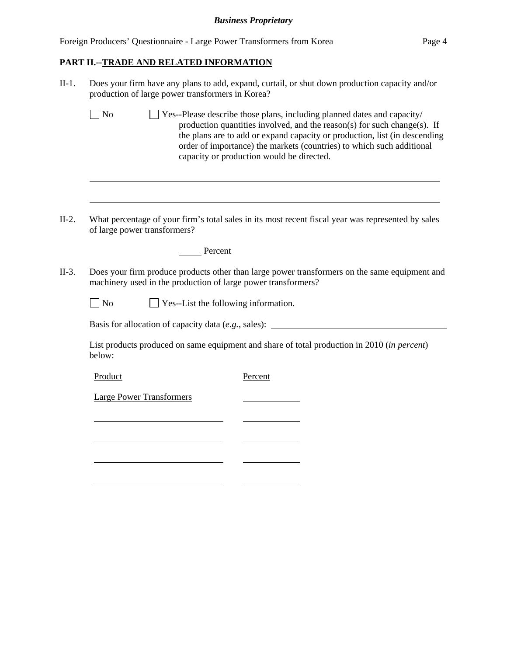|  | Foreign Producers' Questionnaire - Large Power Transformers from Korea | Page 4 |
|--|------------------------------------------------------------------------|--------|
|  |                                                                        |        |

# **PART II.--TRADE AND RELATED INFORMATION**

l

|                                                                                   | Does your firm have any plans to add, expand, curtail, or shut down production capacity and/or<br>production of large power transformers in Korea?                                                                                                                                                                                                      |  |  |  |  |  |
|-----------------------------------------------------------------------------------|---------------------------------------------------------------------------------------------------------------------------------------------------------------------------------------------------------------------------------------------------------------------------------------------------------------------------------------------------------|--|--|--|--|--|
| $\Box$ No                                                                         | Yes--Please describe those plans, including planned dates and capacity/<br>production quantities involved, and the reason(s) for such change(s). If<br>the plans are to add or expand capacity or production, list (in descending<br>order of importance) the markets (countries) to which such additional<br>capacity or production would be directed. |  |  |  |  |  |
|                                                                                   |                                                                                                                                                                                                                                                                                                                                                         |  |  |  |  |  |
|                                                                                   | What percentage of your firm's total sales in its most recent fiscal year was represented by sales<br>of large power transformers?                                                                                                                                                                                                                      |  |  |  |  |  |
|                                                                                   | Percent                                                                                                                                                                                                                                                                                                                                                 |  |  |  |  |  |
|                                                                                   | Does your firm produce products other than large power transformers on the same equipment and<br>machinery used in the production of large power transformers?                                                                                                                                                                                          |  |  |  |  |  |
| $\neg$ No                                                                         | Yes--List the following information.                                                                                                                                                                                                                                                                                                                    |  |  |  |  |  |
| Basis for allocation of capacity data (e.g., sales): ____________________________ |                                                                                                                                                                                                                                                                                                                                                         |  |  |  |  |  |
| below:                                                                            | List products produced on same equipment and share of total production in 2010 (in percent)                                                                                                                                                                                                                                                             |  |  |  |  |  |
| Product                                                                           | Percent                                                                                                                                                                                                                                                                                                                                                 |  |  |  |  |  |
|                                                                                   | <b>Large Power Transformers</b>                                                                                                                                                                                                                                                                                                                         |  |  |  |  |  |
|                                                                                   |                                                                                                                                                                                                                                                                                                                                                         |  |  |  |  |  |
|                                                                                   |                                                                                                                                                                                                                                                                                                                                                         |  |  |  |  |  |
|                                                                                   |                                                                                                                                                                                                                                                                                                                                                         |  |  |  |  |  |

 $\mathcal{L}$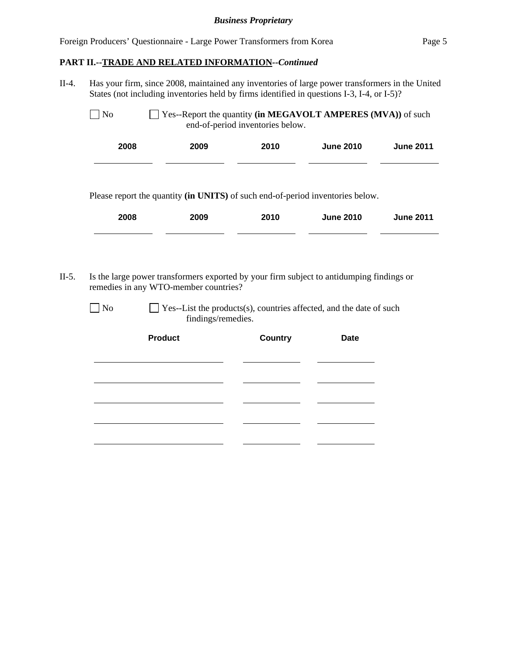## *Business Proprietary*

|                |      |                                       | Has your firm, since 2008, maintained any inventories of large power transformers in the United<br>States (not including inventories held by firms identified in questions I-3, I-4, or I-5)? |                  |                  |
|----------------|------|---------------------------------------|-----------------------------------------------------------------------------------------------------------------------------------------------------------------------------------------------|------------------|------------------|
| N <sub>o</sub> |      |                                       | Yes--Report the quantity (in MEGAVOLT AMPERES (MVA)) of such<br>end-of-period inventories below.                                                                                              |                  |                  |
|                | 2008 | 2009                                  | 2010                                                                                                                                                                                          | <b>June 2010</b> | <b>June 2011</b> |
|                | 2008 | 2009                                  | 2010                                                                                                                                                                                          | <b>June 2010</b> |                  |
|                |      | remedies in any WTO-member countries? | Is the large power transformers exported by your firm subject to antidumping findings or                                                                                                      |                  | <b>June 2011</b> |
| N <sub>o</sub> |      | findings/remedies.                    | Yes--List the products(s), countries affected, and the date of such                                                                                                                           |                  |                  |

<u> 1990 - Johann Barbara, politik eta politik eta politik eta politik eta politik eta politik eta politik eta p</u>

<u> The Common State of the Common State of the Common State of the Common State of the Common State of the Common State of the Common State of the Common State of the Common State of the Common State of the Common State of </u>

 $\overline{\phantom{a}}$ 

<u> 1989 - Johann Barnett, fransk kongresu</u>

<u> 1990 - Johann Barnett, fransk konge</u>

<u> 1989 - Johann Barnett, fransk politiker (d. 1989)</u>

l

l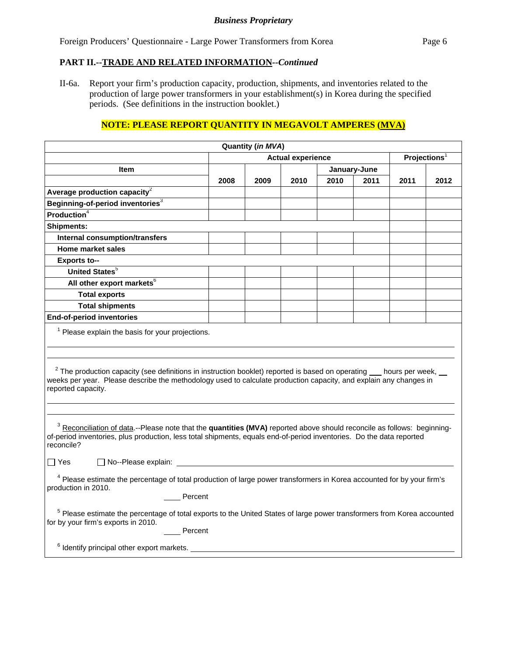Foreign Producers' Questionnaire - Large Power Transformers from Korea Page 6

### **PART II.--TRADE AND RELATED INFORMATION***--Continued*

II-6a. Report your firm's production capacity, production, shipments, and inventories related to the production of large power transformers in your establishment(s) in Korea during the specified periods. (See definitions in the instruction booklet.)

## **NOTE: PLEASE REPORT QUANTITY IN MEGAVOLT AMPERES (MVA)**

|                                                                                                                                                                                                                                                                                                                                             |      | Quantity (in MVA) |                          |      |              |      |                          |  |
|---------------------------------------------------------------------------------------------------------------------------------------------------------------------------------------------------------------------------------------------------------------------------------------------------------------------------------------------|------|-------------------|--------------------------|------|--------------|------|--------------------------|--|
|                                                                                                                                                                                                                                                                                                                                             |      |                   | <b>Actual experience</b> |      |              |      | Projections <sup>1</sup> |  |
| Item                                                                                                                                                                                                                                                                                                                                        |      |                   |                          |      | January-June |      |                          |  |
|                                                                                                                                                                                                                                                                                                                                             | 2008 | 2009              | 2010                     | 2010 | 2011         | 2011 | 2012                     |  |
| Average production capacity $2$                                                                                                                                                                                                                                                                                                             |      |                   |                          |      |              |      |                          |  |
| Beginning-of-period inventories <sup>3</sup>                                                                                                                                                                                                                                                                                                |      |                   |                          |      |              |      |                          |  |
| <b>Production</b> <sup>4</sup>                                                                                                                                                                                                                                                                                                              |      |                   |                          |      |              |      |                          |  |
| <b>Shipments:</b>                                                                                                                                                                                                                                                                                                                           |      |                   |                          |      |              |      |                          |  |
| <b>Internal consumption/transfers</b>                                                                                                                                                                                                                                                                                                       |      |                   |                          |      |              |      |                          |  |
| <b>Home market sales</b>                                                                                                                                                                                                                                                                                                                    |      |                   |                          |      |              |      |                          |  |
| <b>Exports to--</b>                                                                                                                                                                                                                                                                                                                         |      |                   |                          |      |              |      |                          |  |
| <b>United States</b> <sup>5</sup>                                                                                                                                                                                                                                                                                                           |      |                   |                          |      |              |      |                          |  |
| All other export markets <sup>6</sup>                                                                                                                                                                                                                                                                                                       |      |                   |                          |      |              |      |                          |  |
| <b>Total exports</b>                                                                                                                                                                                                                                                                                                                        |      |                   |                          |      |              |      |                          |  |
| <b>Total shipments</b>                                                                                                                                                                                                                                                                                                                      |      |                   |                          |      |              |      |                          |  |
| <b>End-of-period inventories</b>                                                                                                                                                                                                                                                                                                            |      |                   |                          |      |              |      |                          |  |
| <sup>1</sup> Please explain the basis for your projections.<br>$2$ The production capacity (see definitions in instruction booklet) reported is based on operating $\_\_$ hours per week, $\_\_$<br>weeks per year. Please describe the methodology used to calculate production capacity, and explain any changes in<br>reported capacity. |      |                   |                          |      |              |      |                          |  |
| <sup>3</sup> Reconciliation of data.--Please note that the quantities (MVA) reported above should reconcile as follows: beginning-<br>of-period inventories, plus production, less total shipments, equals end-of-period inventories. Do the data reported<br>reconcile?                                                                    |      |                   |                          |      |              |      |                          |  |
| $\Box$ Yes                                                                                                                                                                                                                                                                                                                                  |      |                   |                          |      |              |      |                          |  |
| <sup>4</sup> Please estimate the percentage of total production of large power transformers in Korea accounted for by your firm's<br>production in 2010.                                                                                                                                                                                    |      |                   |                          |      |              |      |                          |  |
| Percent<br><sup>5</sup> Please estimate the percentage of total exports to the United States of large power transformers from Korea accounted<br>for by your firm's exports in 2010.<br>Percent                                                                                                                                             |      |                   |                          |      |              |      |                          |  |
| <sup>6</sup> Identify principal other export markets. _________                                                                                                                                                                                                                                                                             |      |                   |                          |      |              |      |                          |  |
|                                                                                                                                                                                                                                                                                                                                             |      |                   |                          |      |              |      |                          |  |